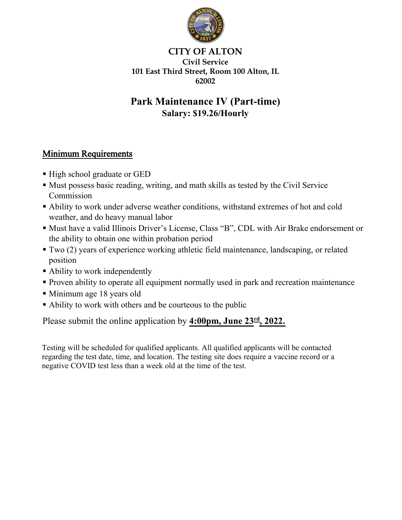

### CITY OF ALTON Civil Service 101 East Third Street, Room 100 Alton, IL 62002

# Park Maintenance IV **(Part-time)** Salary: \$**19.26**/Hourly

## Minimum Requirements

- High school graduate or GED
- Must possess basic reading, writing, and math skills as tested by the Civil Service Commission
- Ability to work under adverse weather conditions, withstand extremes of hot and cold weather, and do heavy manual labor
- Must have a valid Illinois Driver's License, Class "B", CDL with Air Brake endorsement or the ability to obtain one within probation period
- Two (2) years of experience working athletic field maintenance, landscaping, or related position
- Ability to work independently
- Proven ability to operate all equipment normally used in park and recreation maintenance
- Minimum age 18 years old
- Ability to work with others and be courteous to the public

Please submit the online application by **4**:00pm, **June 23 rd**, 202**2**.

Testing will be scheduled for qualified applicants. All qualified applicants will be contacted regarding the test date, time, and location. The testing site does require a vaccine record or a negative COVID test less than a week old at the time of the test.